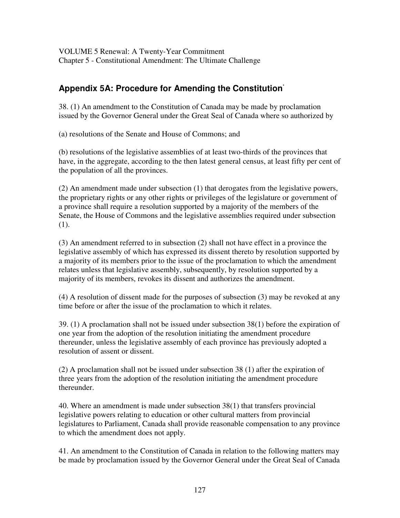## **Appendix 5A: Procedure for Amending the Constitution** \*

38. (1) An amendment to the Constitution of Canada may be made by proclamation issued by the Governor General under the Great Seal of Canada where so authorized by

(a) resolutions of the Senate and House of Commons; and

(b) resolutions of the legislative assemblies of at least two-thirds of the provinces that have, in the aggregate, according to the then latest general census, at least fifty per cent of the population of all the provinces.

(2) An amendment made under subsection (1) that derogates from the legislative powers, the proprietary rights or any other rights or privileges of the legislature or government of a province shall require a resolution supported by a majority of the members of the Senate, the House of Commons and the legislative assemblies required under subsection (1).

(3) An amendment referred to in subsection (2) shall not have effect in a province the legislative assembly of which has expressed its dissent thereto by resolution supported by a majority of its members prior to the issue of the proclamation to which the amendment relates unless that legislative assembly, subsequently, by resolution supported by a majority of its members, revokes its dissent and authorizes the amendment.

(4) A resolution of dissent made for the purposes of subsection (3) may be revoked at any time before or after the issue of the proclamation to which it relates.

39. (1) A proclamation shall not be issued under subsection 38(1) before the expiration of one year from the adoption of the resolution initiating the amendment procedure thereunder, unless the legislative assembly of each province has previously adopted a resolution of assent or dissent.

(2) A proclamation shall not be issued under subsection 38 (1) after the expiration of three years from the adoption of the resolution initiating the amendment procedure thereunder.

40. Where an amendment is made under subsection 38(1) that transfers provincial legislative powers relating to education or other cultural matters from provincial legislatures to Parliament, Canada shall provide reasonable compensation to any province to which the amendment does not apply.

41. An amendment to the Constitution of Canada in relation to the following matters may be made by proclamation issued by the Governor General under the Great Seal of Canada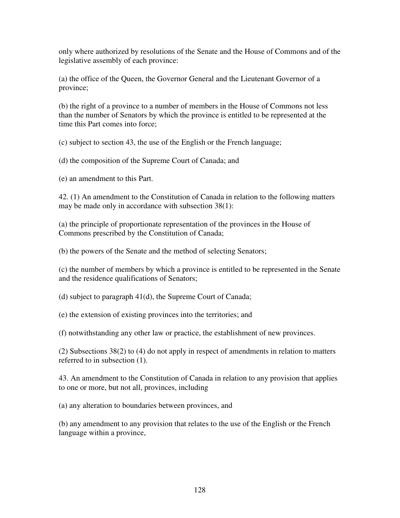only where authorized by resolutions of the Senate and the House of Commons and of the legislative assembly of each province:

(a) the office of the Queen, the Governor General and the Lieutenant Governor of a province;

(b) the right of a province to a number of members in the House of Commons not less than the number of Senators by which the province is entitled to be represented at the time this Part comes into force;

(c) subject to section 43, the use of the English or the French language;

(d) the composition of the Supreme Court of Canada; and

(e) an amendment to this Part.

42. (1) An amendment to the Constitution of Canada in relation to the following matters may be made only in accordance with subsection 38(1):

(a) the principle of proportionate representation of the provinces in the House of Commons prescribed by the Constitution of Canada;

(b) the powers of the Senate and the method of selecting Senators;

(c) the number of members by which a province is entitled to be represented in the Senate and the residence qualifications of Senators;

(d) subject to paragraph 41(d), the Supreme Court of Canada;

(e) the extension of existing provinces into the territories; and

(f) notwithstanding any other law or practice, the establishment of new provinces.

(2) Subsections 38(2) to (4) do not apply in respect of amendments in relation to matters referred to in subsection (1).

43. An amendment to the Constitution of Canada in relation to any provision that applies to one or more, but not all, provinces, including

(a) any alteration to boundaries between provinces, and

(b) any amendment to any provision that relates to the use of the English or the French language within a province,